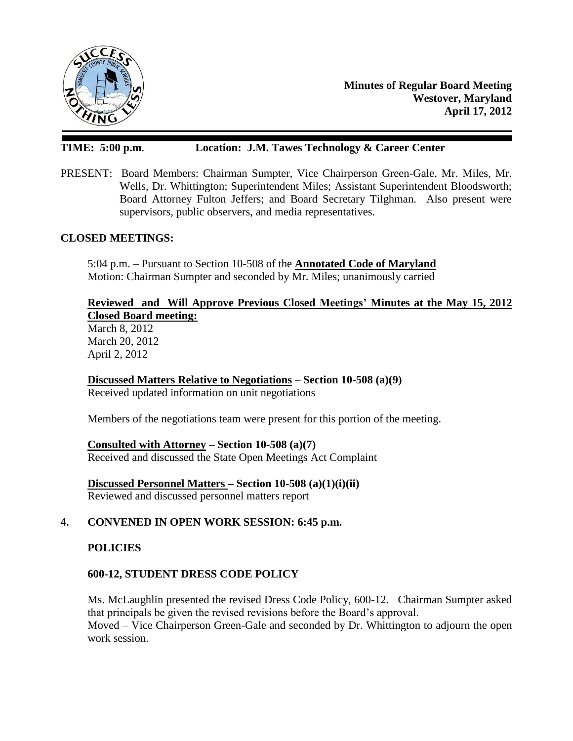

**Minutes of Regular Board Meeting Westover, Maryland April 17, 2012**

# **TIME: 5:00 p.m**. **Location: J.M. Tawes Technology & Career Center**

PRESENT: Board Members: Chairman Sumpter, Vice Chairperson Green-Gale, Mr. Miles, Mr. Wells, Dr. Whittington; Superintendent Miles; Assistant Superintendent Bloodsworth; Board Attorney Fulton Jeffers; and Board Secretary Tilghman. Also present were supervisors, public observers, and media representatives.

#### **CLOSED MEETINGS:**

5:04 p.m. – Pursuant to Section 10-508 of the **Annotated Code of Maryland** Motion: Chairman Sumpter and seconded by Mr. Miles; unanimously carried

### **Reviewed and Will Approve Previous Closed Meetings' Minutes at the May 15, 2012 Closed Board meeting:**

March 8, 2012 March 20, 2012 April 2, 2012

**Discussed Matters Relative to Negotiations** – **Section 10-508 (a)(9)** Received updated information on unit negotiations

Members of the negotiations team were present for this portion of the meeting.

**Consulted with Attorney – Section 10-508 (a)(7)** Received and discussed the State Open Meetings Act Complaint

**Discussed Personnel Matters – Section 10-508 (a)(1)(i)(ii)** Reviewed and discussed personnel matters report

### **4. CONVENED IN OPEN WORK SESSION: 6:45 p.m.**

### **POLICIES**

### **600-12, STUDENT DRESS CODE POLICY**

Ms. McLaughlin presented the revised Dress Code Policy, 600-12. Chairman Sumpter asked that principals be given the revised revisions before the Board's approval. Moved – Vice Chairperson Green-Gale and seconded by Dr. Whittington to adjourn the open work session.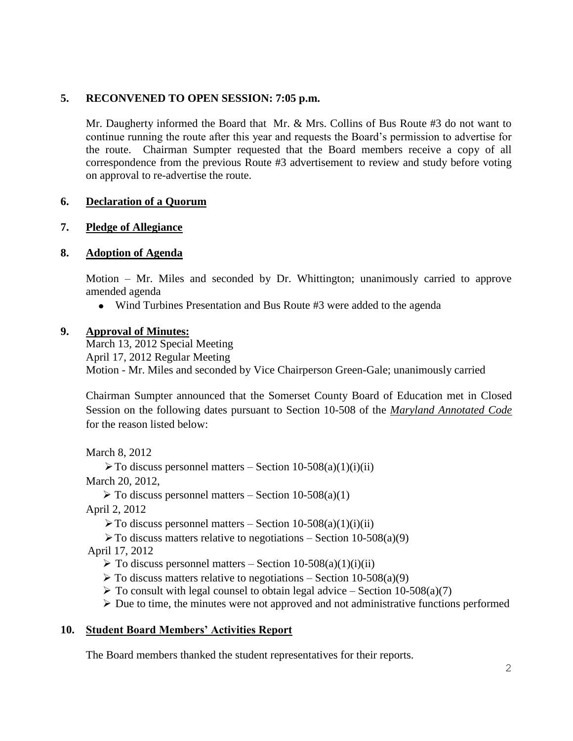### **5. RECONVENED TO OPEN SESSION: 7:05 p.m.**

Mr. Daugherty informed the Board that Mr. & Mrs. Collins of Bus Route #3 do not want to continue running the route after this year and requests the Board's permission to advertise for the route. Chairman Sumpter requested that the Board members receive a copy of all correspondence from the previous Route #3 advertisement to review and study before voting on approval to re-advertise the route.

### **6. Declaration of a Quorum**

### **7. Pledge of Allegiance**

### **8. Adoption of Agenda**

Motion – Mr. Miles and seconded by Dr. Whittington; unanimously carried to approve amended agenda

Wind Turbines Presentation and Bus Route #3 were added to the agenda

### **9. Approval of Minutes:**

March 13, 2012 Special Meeting April 17, 2012 Regular Meeting Motion - Mr. Miles and seconded by Vice Chairperson Green-Gale; unanimously carried

Chairman Sumpter announced that the Somerset County Board of Education met in Closed Session on the following dates pursuant to Section 10-508 of the *Maryland Annotated Code* for the reason listed below:

March 8, 2012

 $\triangleright$  To discuss personnel matters – Section 10-508(a)(1)(i)(ii)

March 20, 2012,

 $\triangleright$  To discuss personnel matters – Section 10-508(a)(1)

April 2, 2012

 $\triangleright$  To discuss personnel matters – Section 10-508(a)(1)(i)(ii)

 $\triangleright$  To discuss matters relative to negotiations – Section 10-508(a)(9)

April 17, 2012

 $\triangleright$  To discuss personnel matters – Section 10-508(a)(1)(ii)(ii)

- $\triangleright$  To discuss matters relative to negotiations Section 10-508(a)(9)
- $\triangleright$  To consult with legal counsel to obtain legal advice Section 10-508(a)(7)

 $\triangleright$  Due to time, the minutes were not approved and not administrative functions performed

### **10. Student Board Members' Activities Report**

The Board members thanked the student representatives for their reports.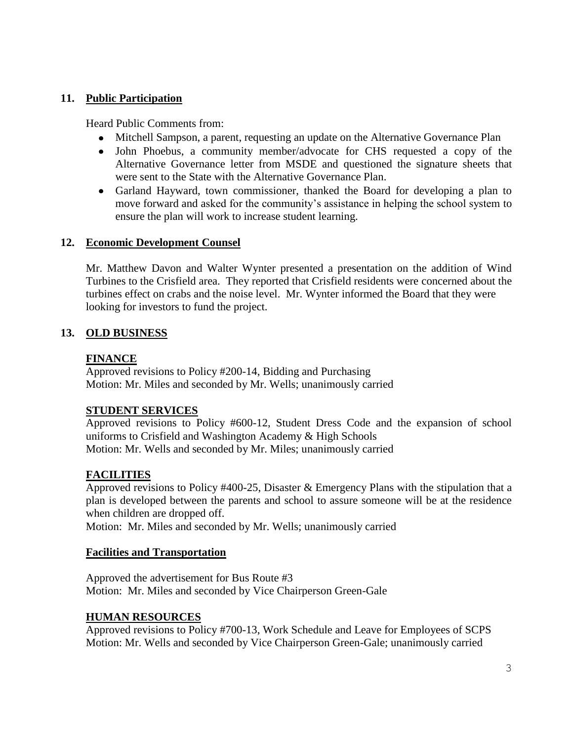## **11. Public Participation**

Heard Public Comments from:

- Mitchell Sampson, a parent, requesting an update on the Alternative Governance Plan
- John Phoebus, a community member/advocate for CHS requested a copy of the Alternative Governance letter from MSDE and questioned the signature sheets that were sent to the State with the Alternative Governance Plan.
- Garland Hayward, town commissioner, thanked the Board for developing a plan to move forward and asked for the community's assistance in helping the school system to ensure the plan will work to increase student learning.

### **12. Economic Development Counsel**

Mr. Matthew Davon and Walter Wynter presented a presentation on the addition of Wind Turbines to the Crisfield area. They reported that Crisfield residents were concerned about the turbines effect on crabs and the noise level. Mr. Wynter informed the Board that they were looking for investors to fund the project.

## **13. OLD BUSINESS**

### **FINANCE**

Approved revisions to Policy #200-14, Bidding and Purchasing Motion: Mr. Miles and seconded by Mr. Wells; unanimously carried

## **STUDENT SERVICES**

Approved revisions to Policy #600-12, Student Dress Code and the expansion of school uniforms to Crisfield and Washington Academy & High Schools Motion: Mr. Wells and seconded by Mr. Miles; unanimously carried

## **FACILITIES**

Approved revisions to Policy #400-25, Disaster & Emergency Plans with the stipulation that a plan is developed between the parents and school to assure someone will be at the residence when children are dropped off.

Motion: Mr. Miles and seconded by Mr. Wells; unanimously carried

### **Facilities and Transportation**

Approved the advertisement for Bus Route #3 Motion: Mr. Miles and seconded by Vice Chairperson Green-Gale

### **HUMAN RESOURCES**

Approved revisions to Policy #700-13, Work Schedule and Leave for Employees of SCPS Motion: Mr. Wells and seconded by Vice Chairperson Green-Gale; unanimously carried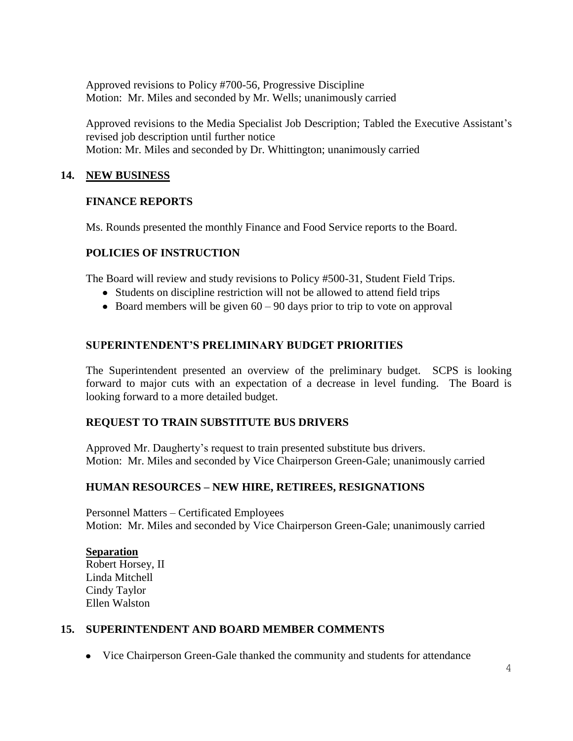Approved revisions to Policy #700-56, Progressive Discipline Motion: Mr. Miles and seconded by Mr. Wells; unanimously carried

Approved revisions to the Media Specialist Job Description; Tabled the Executive Assistant's revised job description until further notice Motion: Mr. Miles and seconded by Dr. Whittington; unanimously carried

### **14. NEW BUSINESS**

### **FINANCE REPORTS**

Ms. Rounds presented the monthly Finance and Food Service reports to the Board.

### **POLICIES OF INSTRUCTION**

The Board will review and study revisions to Policy #500-31, Student Field Trips.

- Students on discipline restriction will not be allowed to attend field trips
- $\bullet$  Board members will be given 60 90 days prior to trip to vote on approval

### **SUPERINTENDENT'S PRELIMINARY BUDGET PRIORITIES**

The Superintendent presented an overview of the preliminary budget. SCPS is looking forward to major cuts with an expectation of a decrease in level funding. The Board is looking forward to a more detailed budget.

## **REQUEST TO TRAIN SUBSTITUTE BUS DRIVERS**

Approved Mr. Daugherty's request to train presented substitute bus drivers. Motion: Mr. Miles and seconded by Vice Chairperson Green-Gale; unanimously carried

## **HUMAN RESOURCES – NEW HIRE, RETIREES, RESIGNATIONS**

Personnel Matters – Certificated Employees Motion: Mr. Miles and seconded by Vice Chairperson Green-Gale; unanimously carried

### **Separation**

Robert Horsey, II Linda Mitchell Cindy Taylor Ellen Walston

### **15. SUPERINTENDENT AND BOARD MEMBER COMMENTS**

• Vice Chairperson Green-Gale thanked the community and students for attendance